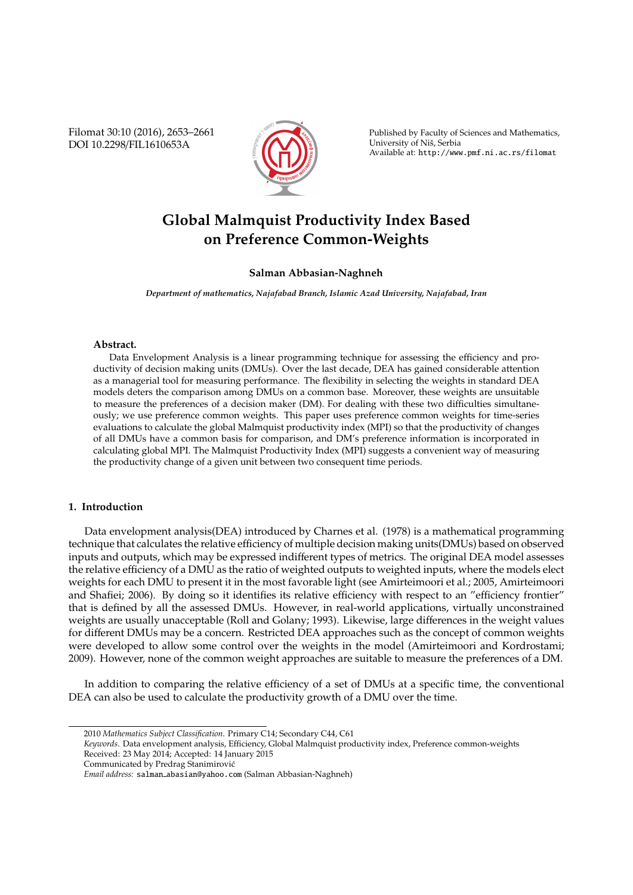Filomat 30:10 (2016), 2653–2661 DOI 10.2298/FIL1610653A



Published by Faculty of Sciences and Mathematics, University of Nis, Serbia ˇ Available at: http://www.pmf.ni.ac.rs/filomat

# **Global Malmquist Productivity Index Based on Preference Common-Weights**

# **Salman Abbasian-Naghneh**

*Department of mathematics, Najafabad Branch, Islamic Azad University, Najafabad, Iran*

# **Abstract.**

Data Envelopment Analysis is a linear programming technique for assessing the efficiency and productivity of decision making units (DMUs). Over the last decade, DEA has gained considerable attention as a managerial tool for measuring performance. The flexibility in selecting the weights in standard DEA models deters the comparison among DMUs on a common base. Moreover, these weights are unsuitable to measure the preferences of a decision maker (DM). For dealing with these two difficulties simultaneously; we use preference common weights. This paper uses preference common weights for time-series evaluations to calculate the global Malmquist productivity index (MPI) so that the productivity of changes of all DMUs have a common basis for comparison, and DM's preference information is incorporated in calculating global MPI. The Malmquist Productivity Index (MPI) suggests a convenient way of measuring the productivity change of a given unit between two consequent time periods.

## **1. Introduction**

Data envelopment analysis(DEA) introduced by Charnes et al. (1978) is a mathematical programming technique that calculates the relative efficiency of multiple decision making units(DMUs) based on observed inputs and outputs, which may be expressed indifferent types of metrics. The original DEA model assesses the relative efficiency of a DMU as the ratio of weighted outputs to weighted inputs, where the models elect weights for each DMU to present it in the most favorable light (see Amirteimoori et al.; 2005, Amirteimoori and Shafiei; 2006). By doing so it identifies its relative efficiency with respect to an "efficiency frontier" that is defined by all the assessed DMUs. However, in real-world applications, virtually unconstrained weights are usually unacceptable (Roll and Golany; 1993). Likewise, large differences in the weight values for different DMUs may be a concern. Restricted DEA approaches such as the concept of common weights were developed to allow some control over the weights in the model (Amirteimoori and Kordrostami; 2009). However, none of the common weight approaches are suitable to measure the preferences of a DM.

In addition to comparing the relative efficiency of a set of DMUs at a specific time, the conventional DEA can also be used to calculate the productivity growth of a DMU over the time.

Received: 23 May 2014; Accepted: 14 January 2015

<sup>2010</sup> *Mathematics Subject Classification*. Primary C14; Secondary C44, C61

*Keywords*. Data envelopment analysis, Efficiency, Global Malmquist productivity index, Preference common-weights

Communicated by Predrag Stanimirovic´

*Email address:* salman abasian@yahoo.com (Salman Abbasian-Naghneh)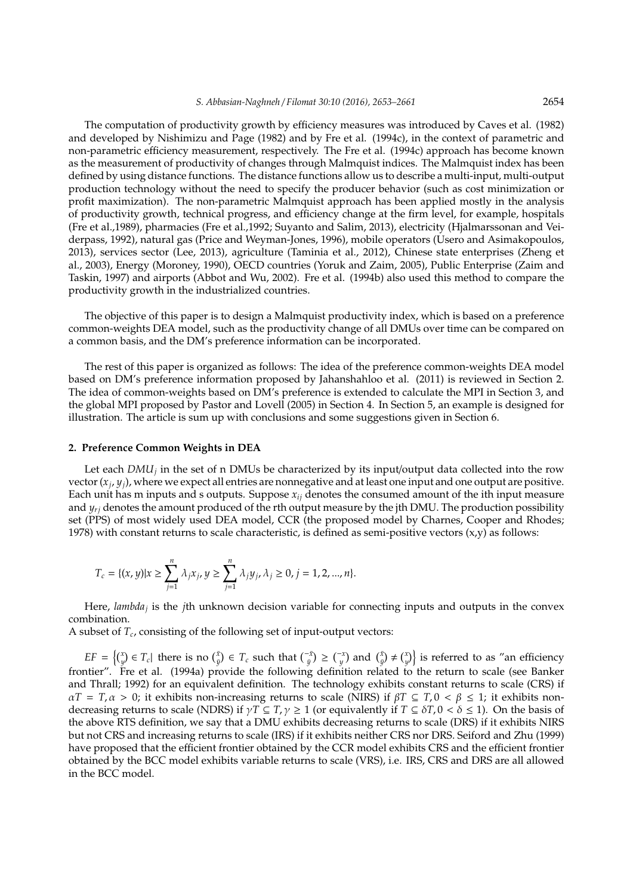The computation of productivity growth by efficiency measures was introduced by Caves et al. (1982) and developed by Nishimizu and Page (1982) and by Fre et al. (1994c), in the context of parametric and non-parametric efficiency measurement, respectively. The Fre et al. (1994c) approach has become known as the measurement of productivity of changes through Malmquist indices. The Malmquist index has been defined by using distance functions. The distance functions allow us to describe a multi-input, multi-output production technology without the need to specify the producer behavior (such as cost minimization or profit maximization). The non-parametric Malmquist approach has been applied mostly in the analysis of productivity growth, technical progress, and efficiency change at the firm level, for example, hospitals (Fre et al.,1989), pharmacies (Fre et al.,1992; Suyanto and Salim, 2013), electricity (Hjalmarssonan and Veiderpass, 1992), natural gas (Price and Weyman-Jones, 1996), mobile operators (Usero and Asimakopoulos, 2013), services sector (Lee, 2013), agriculture (Taminia et al., 2012), Chinese state enterprises (Zheng et al., 2003), Energy (Moroney, 1990), OECD countries (Yoruk and Zaim, 2005), Public Enterprise (Zaim and Taskin, 1997) and airports (Abbot and Wu, 2002). Fre et al. (1994b) also used this method to compare the productivity growth in the industrialized countries.

The objective of this paper is to design a Malmquist productivity index, which is based on a preference common-weights DEA model, such as the productivity change of all DMUs over time can be compared on a common basis, and the DM's preference information can be incorporated.

The rest of this paper is organized as follows: The idea of the preference common-weights DEA model based on DM's preference information proposed by Jahanshahloo et al. (2011) is reviewed in Section 2. The idea of common-weights based on DM's preference is extended to calculate the MPI in Section 3, and the global MPI proposed by Pastor and Lovell (2005) in Section 4. In Section 5, an example is designed for illustration. The article is sum up with conclusions and some suggestions given in Section 6.

## **2. Preference Common Weights in DEA**

Let each *DMU<sup>j</sup>* in the set of n DMUs be characterized by its input/output data collected into the row vector (*x<sup>j</sup>* , *yj*), where we expect all entries are nonnegative and at least one input and one output are positive. Each unit has m inputs and s outputs. Suppose *xij* denotes the consumed amount of the ith input measure and  $y_{ri}$  denotes the amount produced of the rth output measure by the jth DMU. The production possibility set (PPS) of most widely used DEA model, CCR (the proposed model by Charnes, Cooper and Rhodes; 1978) with constant returns to scale characteristic, is defined as semi-positive vectors  $(x,y)$  as follows:

$$
T_c = \{(x, y) | x \ge \sum_{j=1}^n \lambda_j x_j, y \ge \sum_{j=1}^n \lambda_j y_j, \lambda_j \ge 0, j = 1, 2, ..., n\}.
$$

Here, *lambda<sub>j</sub>* is the *j*th unknown decision variable for connecting inputs and outputs in the convex combination.

A subset of *T<sup>c</sup>* , consisting of the following set of input-output vectors:

 $EF = \left\{ \begin{matrix} x \\ y \end{matrix} \right\} \in T_c$  there is no  $\begin{matrix} \bar{x} \\ \bar{y} \end{matrix} \in T_c$  such that  $\begin{matrix} \bar{x} \\ \bar{y} \end{matrix} \geq \begin{matrix} -x \\ y \end{matrix}$  and  $\begin{matrix} \bar{x} \\ \bar{y} \end{matrix} \neq \begin{matrix} x \\ y \end{matrix} \right\}$  is referred to as "an efficiency frontier". Fre et al. (1994a) provide the following definition related to the return to scale (see Banker and Thrall; 1992) for an equivalent definition. The technology exhibits constant returns to scale (CRS) if  $\alpha T = T_i \alpha > 0$ ; it exhibits non-increasing returns to scale (NIRS) if  $\beta T \subseteq T_i 0 < \beta \leq 1$ ; it exhibits nondecreasing returns to scale (NDRS) if  $\gamma T \subseteq T$ ,  $\gamma \ge 1$  (or equivalently if  $T \subseteq \delta T$ ,  $0 < \delta \le 1$ ). On the basis of the above RTS definition, we say that a DMU exhibits decreasing returns to scale (DRS) if it exhibits NIRS but not CRS and increasing returns to scale (IRS) if it exhibits neither CRS nor DRS. Seiford and Zhu (1999) have proposed that the efficient frontier obtained by the CCR model exhibits CRS and the efficient frontier obtained by the BCC model exhibits variable returns to scale (VRS), i.e. IRS, CRS and DRS are all allowed in the BCC model.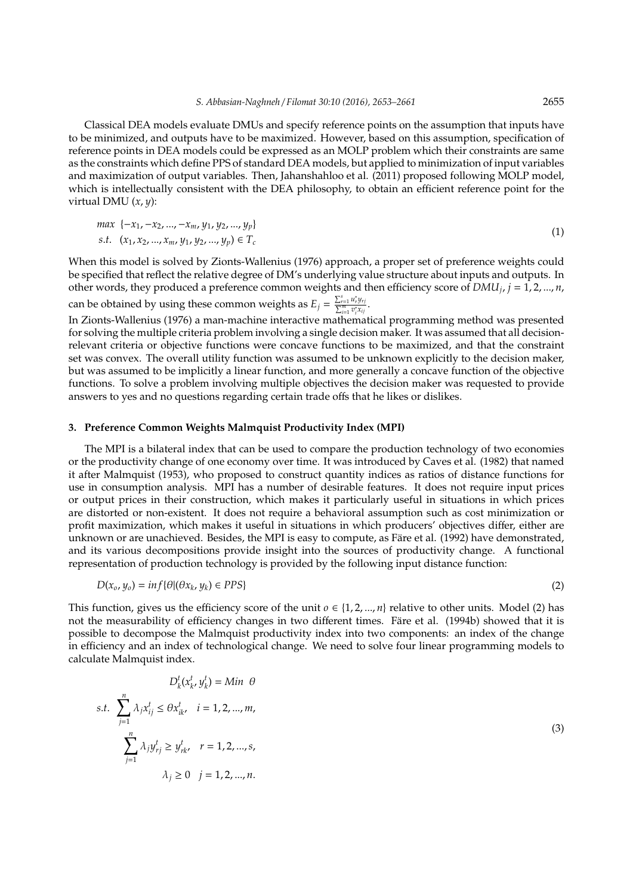Classical DEA models evaluate DMUs and specify reference points on the assumption that inputs have to be minimized, and outputs have to be maximized. However, based on this assumption, specification of reference points in DEA models could be expressed as an MOLP problem which their constraints are same as the constraints which define PPS of standard DEA models, but applied to minimization of input variables and maximization of output variables. Then, Jahanshahloo et al. (2011) proposed following MOLP model, which is intellectually consistent with the DEA philosophy, to obtain an efficient reference point for the virtual DMU (*x*, *y*):

$$
\max \ \{-x_1, -x_2, \dots, -x_m, y_1, y_2, \dots, y_p\} \ns.t. \ \ (x_1, x_2, \dots, x_m, y_1, y_2, \dots, y_p) \in T_c
$$
\n
$$
(1)
$$

When this model is solved by Zionts-Wallenius (1976) approach, a proper set of preference weights could be specified that reflect the relative degree of DM's underlying value structure about inputs and outputs. In other words, they produced a preference common weights and then efficiency score of *DMU<sup>j</sup>* , *j* = 1, 2, ..., *n*, can be obtained by using these common weights as  $E_j = \frac{\sum_{i=1}^{s} u_i^* y_{rj}}{\sum_{i=1}^{m} v_i^* x_{ij}}$ .

In Zionts-Wallenius (1976) a man-machine interactive mathematical programming method was presented for solving the multiple criteria problem involving a single decision maker. It was assumed that all decisionrelevant criteria or objective functions were concave functions to be maximized, and that the constraint set was convex. The overall utility function was assumed to be unknown explicitly to the decision maker, but was assumed to be implicitly a linear function, and more generally a concave function of the objective functions. To solve a problem involving multiple objectives the decision maker was requested to provide answers to yes and no questions regarding certain trade offs that he likes or dislikes.

#### **3. Preference Common Weights Malmquist Productivity Index (MPI)**

The MPI is a bilateral index that can be used to compare the production technology of two economies or the productivity change of one economy over time. It was introduced by Caves et al. (1982) that named it after Malmquist (1953), who proposed to construct quantity indices as ratios of distance functions for use in consumption analysis. MPI has a number of desirable features. It does not require input prices or output prices in their construction, which makes it particularly useful in situations in which prices are distorted or non-existent. It does not require a behavioral assumption such as cost minimization or profit maximization, which makes it useful in situations in which producers' objectives differ, either are unknown or are unachieved. Besides, the MPI is easy to compute, as Färe et al. (1992) have demonstrated, and its various decompositions provide insight into the sources of productivity change. A functional representation of production technology is provided by the following input distance function:

$$
D(x_0, y_0) = \inf \{ \theta | (\theta x_k, y_k) \in PPS \}
$$
\n<sup>(2)</sup>

This function, gives us the efficiency score of the unit  $o \in \{1, 2, ..., n\}$  relative to other units. Model (2) has not the measurability of efficiency changes in two different times. Fare et al. (1994b) showed that it is possible to decompose the Malmquist productivity index into two components: an index of the change in efficiency and an index of technological change. We need to solve four linear programming models to calculate Malmquist index.

$$
D_{k}^{t}(x_{k}^{t}, y_{k}^{t}) = Min \theta
$$
  
s.t. 
$$
\sum_{j=1}^{n} \lambda_{j} x_{ij}^{t} \leq \theta x_{ik}^{t}, \quad i = 1, 2, ..., m,
$$

$$
\sum_{j=1}^{n} \lambda_{j} y_{rj}^{t} \geq y_{rk}^{t}, \quad r = 1, 2, ..., s,
$$

$$
\lambda_{j} \geq 0 \quad j = 1, 2, ..., n.
$$

$$
(3)
$$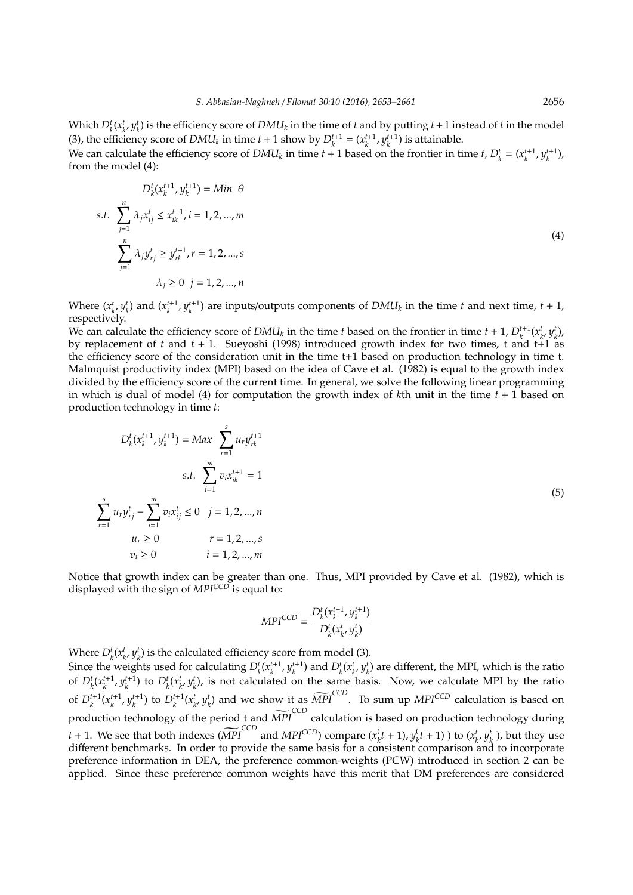Which  $D_k^t(x_k^t, y_k^t)$  is the efficiency score of  $DMI_k$  in the time of *t* and by putting  $t+1$  instead of *t* in the model (3), the efficiency score of *DMU<sub>k</sub>* in time  $t + 1$  show by  $D_k^{t+1} = (x_k^{t+1}, y_k^{t+1})$  is attainable. We can calculate the efficiency score of  $DMU_k$  in time  $t + 1$  based on the frontier in time  $t$ ,  $D_k^t = (x_k^{t+1}, y_k^{t+1})$ , from the model (4):

$$
D_{k}^{t}(x_{k}^{t+1}, y_{k}^{t+1}) = Min \theta
$$
  
s.t. 
$$
\sum_{j=1}^{n} \lambda_{j}x_{ij}^{t} \leq x_{ik}^{t+1}, i = 1, 2, ..., m
$$
  

$$
\sum_{j=1}^{n} \lambda_{j}y_{rj}^{t} \geq y_{rk}^{t+1}, r = 1, 2, ..., s
$$
  

$$
\lambda_{j} \geq 0 \quad j = 1, 2, ..., n
$$
 (4)

Where  $(x_{k'}^t y_k^t)$  and  $(x_k^{t+1}, y_k^{t+1})$  are inputs/outputs components of  $DMI_k$  in the time t and next time,  $t+1$ , respectively.

We can calculate the efficiency score of  $DMU_k$  in the time *t* based on the frontier in time  $t + 1$ ,  $D_k^{t+1}(x_k^t, y_k^t)$ , by replacement of *t* and  $t + 1$ . Sueyoshi (1998) introduced growth index for two times, t and  $t+1$  as the efficiency score of the consideration unit in the time t+1 based on production technology in time t. Malmquist productivity index (MPI) based on the idea of Cave et al. (1982) is equal to the growth index divided by the efficiency score of the current time. In general, we solve the following linear programming in which is dual of model (4) for computation the growth index of *k*th unit in the time *t* + 1 based on production technology in time *t*:

$$
D_{k}^{t}(x_{k}^{t+1}, y_{k}^{t+1}) = Max \sum_{r=1}^{s} u_{r}y_{rk}^{t+1}
$$
  
s.t. 
$$
\sum_{i=1}^{m} v_{i}x_{ik}^{t+1} = 1
$$
  

$$
\sum_{r=1}^{s} u_{r}y_{rj}^{t} - \sum_{i=1}^{m} v_{i}x_{ij}^{t} \le 0 \quad j = 1, 2, ..., n
$$
  

$$
u_{r} \ge 0 \qquad r = 1, 2, ..., s
$$
  

$$
v_{i} \ge 0 \qquad i = 1, 2, ..., m
$$

Notice that growth index can be greater than one. Thus, MPI provided by Cave et al. (1982), which is displayed with the sign of *MPICCD* is equal to:

$$
MPI^{CCD} = \frac{D_k^t(x_k^{t+1}, y_k^{t+1})}{D_k^t(x_k^t, y_k^t)}
$$

Where  $D_k^t(x_k^t, y_k^t)$  is the calculated efficiency score from model (3).

Since the weights used for calculating  $D_k^t(x_k^{t+1}, y_k^{t+1})$  and  $D_k^t(x_k^t, y_k^t)$  are different, the MPI, which is the ratio of  $D_k^t(x_k^{t+1}, y_k^{t+1})$  to  $D_k^t(x_k^t, y_k^t)$ , is not calculated on the same basis. Now, we calculate MPI by the ratio *k k k k k k* of  $D_k^{t+1}(x_k^{t+1}, y_k^{t+1})$  to  $D_k^{t+1}(x_{k'}^t, y_k^t)$  and we show it as  $\widetilde{MPI}^{CCD}$ . To sum up  $MPI^{CCD}$  calculation is based on production technology of the period t and  $\widetilde{MPI}^{\text{CCD}}$  calculation is based on production technology during *t* + 1. We see that both indexes ( $\widetilde{MPI}^{\text{CCD}}$  and  $MPI^{\text{CCD}}$ ) compare (*x*<sup>*t*</sup></sup>)  $y_k^{\left(t+1\right)}, y_k^{\left(t+1\right)}$  $\mathbf{f}_k(t+1)$  ) to  $(x_k^t, y_k^t)$ , but they use different benchmarks. In order to provide the same basis for a consistent comparison and to incorporate preference information in DEA, the preference common-weights (PCW) introduced in section 2 can be applied. Since these preference common weights have this merit that DM preferences are considered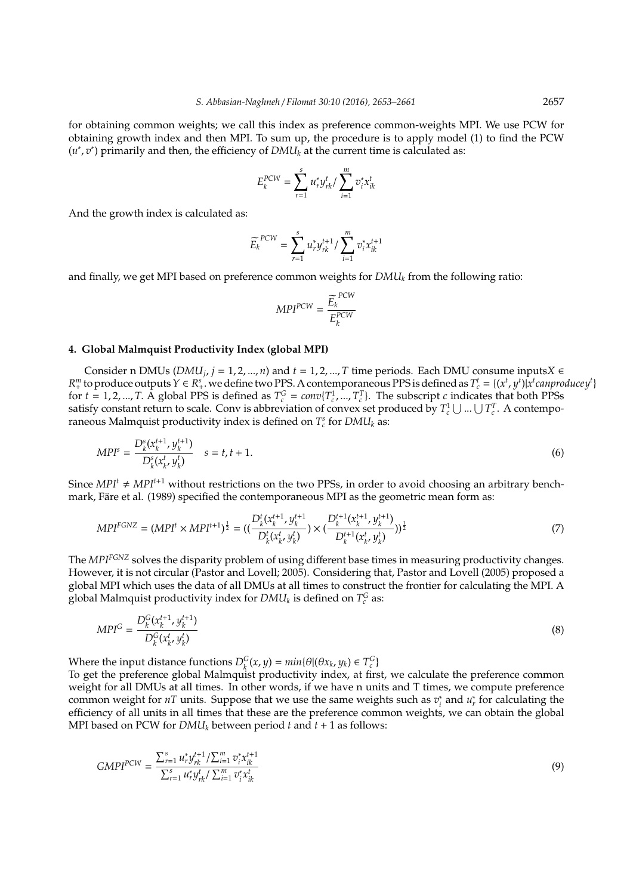for obtaining common weights; we call this index as preference common-weights MPI. We use PCW for obtaining growth index and then MPI. To sum up, the procedure is to apply model (1) to find the PCW  $(u^*, v^*)$  primarily and then, the efficiency of  $DMI_k$  at the current time is calculated as:

$$
E_k^{PCW} = \sum_{r=1}^s u_r^* y_{rk}^t / \sum_{i=1}^m v_i^* x_{ik}^t
$$

And the growth index is calculated as:

$$
\widetilde{E_k}^{PCW} = \sum_{r=1}^{s} u_r^* y_{rk}^{t+1} / \sum_{i=1}^{m} v_i^* x_{ik}^{t+1}
$$

and finally, we get MPI based on preference common weights for *DMU<sup>k</sup>* from the following ratio:

$$
MPI^{PCW} = \frac{\widetilde{E_k}^{PCW}}{E_k^{PCW}}
$$

#### **4. Global Malmquist Productivity Index (global MPI)**

Consider n DMUs ( $DMU_j$ , *j* = 1, 2, ..., *n*) and *t* = 1, 2, ..., *T* time periods. Each DMU consume inputs*X*  $\in$  $R_+^m$  to produce outputs  $Y \in R_+^s$ , we define two PPS. A contemporaneous PPS is defined as  $T_c^t = \{(x^t, y^t) | x^t \text{ can produce } y^t\}$ for  $t = 1, 2, ..., T$ . A global PPS is defined as  $T_c^G = conv\{T_c^1, ..., T_c^T\}$ . The subscript *c* indicates that both PPSs satisfy constant return to scale. Conv is abbreviation of convex set produced by  $T_c^1 \cup ... \cup T_c^T$ . A contemporaneous Malmquist productivity index is defined on  $T_c^s$  for  $DMI_k$  as:

$$
MPI^s = \frac{D_k^s(x_k^{t+1}, y_k^{t+1})}{D_k^s(x_{k'}^t, y_k^t)} \quad s = t, t+1.
$$
\n<sup>(6)</sup>

Since  $MPI<sup>t</sup> \neq MPI<sup>t+1</sup>$  without restrictions on the two PPSs, in order to avoid choosing an arbitrary benchmark, Färe et al. (1989) specified the contemporaneous MPI as the geometric mean form as:

$$
MPI^{FCNZ} = (MPI^t \times MPI^{t+1})^{\frac{1}{2}} = ((\frac{D_k^t(x_k^{t+1}, y_k^{t+1})}{D_k^t(x_k^t, y_k^t)}) \times (\frac{D_k^{t+1}(x_k^{t+1}, y_k^{t+1})}{D_k^{t+1}(x_k^t, y_k^t)})^{\frac{1}{2}} \tag{7}
$$

The *MPIFGNZ* solves the disparity problem of using different base times in measuring productivity changes. However, it is not circular (Pastor and Lovell; 2005). Considering that, Pastor and Lovell (2005) proposed a global MPI which uses the data of all DMUs at all times to construct the frontier for calculating the MPI. A global Malmquist productivity index for  $DMU_k$  is defined on  $T_c^G$  as:

$$
MPI^{G} = \frac{D_k^{G}(x_k^{t+1}, y_k^{t+1})}{D_k^{G}(x_k^{t}, y_k^{t})}
$$
\n(8)

Where the input distance functions  $D_k^G(x, y) = min\{\theta | (\theta x_k, y_k) \in T_c^G\}$ 

To get the preference global Malmquist productivity index, at first, we calculate the preference common weight for all DMUs at all times. In other words, if we have n units and T times, we compute preference common weight for *nT* units. Suppose that we use the same weights such as *v* ∗  $u_r^*$  and  $u_r^*$  for calculating the efficiency of all units in all times that these are the preference common weights, we can obtain the global MPI based on PCW for  $DMI_k$  between period  $t$  and  $t + 1$  as follows:

$$
GMPI^{PCW} = \frac{\sum_{r=1}^{s} u_r^* y_{rk}^{t+1} / \sum_{i=1}^{m} v_i^* x_{ik}^{t+1}}{\sum_{r=1}^{s} u_r^* y_{rk}^t / \sum_{i=1}^{m} v_i^* x_{ik}^t}
$$
(9)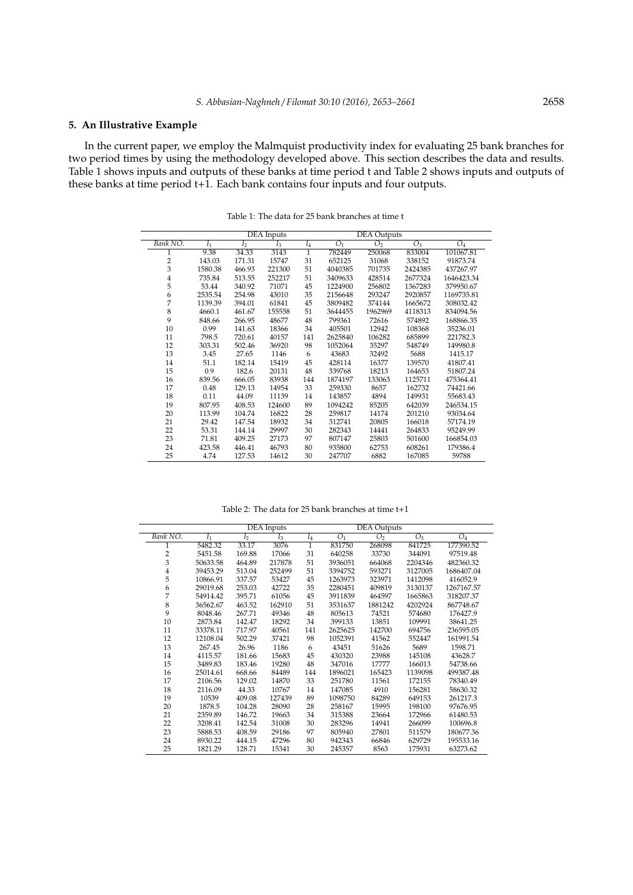# **5. An Illustrative Example**

In the current paper, we employ the Malmquist productivity index for evaluating 25 bank branches for two period times by using the methodology developed above. This section describes the data and results. Table 1 shows inputs and outputs of these banks at time period t and Table 2 shows inputs and outputs of these banks at time period t+1. Each bank contains four inputs and four outputs.

|                |                |                | DEA Inputs | <b>DEA</b> Outputs |                |                |         |            |
|----------------|----------------|----------------|------------|--------------------|----------------|----------------|---------|------------|
| Bank NO.       | I <sub>1</sub> | I <sub>2</sub> | $I_3$      | $I_4$              | O <sub>1</sub> | O <sub>2</sub> | $O_3$   | $O_4$      |
| 1              | 9.38           | 34.33          | 3143       | $\overline{1}$     | 782449         | 250068         | 833004  | 101067.81  |
| $\overline{c}$ | 143.03         | 171.31         | 15747      | 31                 | 652125         | 31068          | 338152  | 91873.74   |
| 3              | 1580.38        | 466.93         | 221300     | 51                 | 4040385        | 701735         | 2424385 | 437267.97  |
| $\frac{4}{5}$  | 735.84         | 513.55         | 252217     | 51                 | 3409633        | 428514         | 2677324 | 1646423.34 |
|                | 53.44          | 340.92         | 71071      | 45                 | 1224900        | 256802         | 1367283 | 379950.67  |
| 6              | 2535.54        | 254.98         | 43010      | 35                 | 2156648        | 293247         | 2920857 | 1169735.81 |
| $\overline{7}$ | 1139.39        | 394.01         | 61841      | 45                 | 3809482        | 374144         | 1665672 | 308032.42  |
| $\,$ 8 $\,$    | 4660.1         | 461.67         | 155558     | 51                 | 3644455        | 1962969        | 4118313 | 834094.56  |
| 9              | 848.66         | 266.95         | 48677      | 48                 | 799361         | 72616          | 574892  | 168866.35  |
| 10             | 0.99           | 141.63         | 18366      | 34                 | 405501         | 12942          | 108368  | 35236.01   |
| 11             | 798.5          | 720.61         | 40157      | 141                | 2625840        | 106282         | 685899  | 221782.3   |
| 12             | 303.31         | 502.46         | 36920      | 98                 | 1052064        | 35297          | 548749  | 149980.8   |
| 13             | 3.45           | 27.65          | 1146       | 6                  | 43683          | 32492          | 5688    | 1415.17    |
| 14             | 51.1           | 182.14         | 15419      | 45                 | 428114         | 16377          | 139570  | 41807.41   |
| 15             | 0.9            | 182.6          | 20131      | 48                 | 339768         | 18213          | 164653  | 51807.24   |
| 16             | 839.56         | 666.05         | 83938      | 144                | 1874197        | 133063         | 1125711 | 475364.41  |
| 17             | 0.48           | 129.13         | 14954      | 33                 | 259330         | 8657           | 162732  | 74421.66   |
| 18             | 0.11           | 44.09          | 11139      | 14                 | 143857         | 4894           | 149931  | 55683.43   |
| 19             | 807.95         | 408.53         | 124600     | 89                 | 1094242        | 85205          | 642039  | 246534.15  |
| 20             | 113.99         | 104.74         | 16822      | 28                 | 259817         | 14174          | 201210  | 93034.64   |
| 21             | 29.42          | 147.54         | 18932      | 34                 | 312741         | 20805          | 166018  | 57174.19   |
| 22             | 53.31          | 144.14         | 29997      | 30                 | 282343         | 14441          | 264833  | 95249.99   |
| 23             | 71.81          | 409.25         | 27173      | 97                 | 807147         | 25803          | 501600  | 166854.03  |
| 24             | 423.58         | 446.41         | 46793      | 80                 | 935800         | 62753          | 608261  | 179386.4   |
| 25             | 4.74           | 127.53         | 14612      | 30                 | 247707         | 6882           | 167085  | 59788      |

Table 1: The data for 25 bank branches at time t

Table 2: The data for 25 bank branches at time t+1

|                         | <b>DEA</b> Inputs |                |        | <b>DEA</b> Outputs |                |                |         |            |
|-------------------------|-------------------|----------------|--------|--------------------|----------------|----------------|---------|------------|
| Bank NO.                | I <sub>1</sub>    | I <sub>2</sub> | $I_3$  | $I_4$              | O <sub>1</sub> | O <sub>2</sub> | $O_3$   | $O_4$      |
| 1                       | 5482.32           | 33.17          | 3076   | $\mathbf{1}$       | 831750         | 268098         | 841725  | 177390.52  |
| $\overline{2}$          | 5451.58           | 169.88         | 17066  | 31                 | 640258         | 33730          | 344091  | 97519.48   |
| 3                       | 50633.58          | 464.89         | 217878 | 51                 | 3936051        | 664068         | 2204346 | 482360.32  |
| $\overline{\mathbf{4}}$ | 39453.29          | 513.04         | 252499 | 51                 | 3394752        | 593271         | 3127005 | 1686407.04 |
| 5                       | 10866.91          | 337.57         | 53427  | 45                 | 1263973        | 323971         | 1412098 | 416052.9   |
| 6                       | 29019.68          | 253.03         | 42722  | 35                 | 2280451        | 409819         | 3130137 | 1267167.57 |
| 7                       | 54914.42          | 395.71         | 61056  | 45                 | 3911839        | 464597         | 1665863 | 318207.37  |
| 8                       | 36562.67          | 463.52         | 162910 | 51                 | 3531637        | 1881242        | 4202924 | 867748.67  |
| 9                       | 8048.46           | 267.71         | 49346  | 48                 | 805613         | 74521          | 574680  | 176427.9   |
| 10                      | 2873.84           | 142.47         | 18292  | 34                 | 399133         | 13851          | 109991  | 38641.25   |
| 11                      | 33378.11          | 717.97         | 40561  | 141                | 2625625        | 142700         | 694756  | 236595.05  |
| 12                      | 12108.04          | 502.29         | 37421  | 98                 | 1052391        | 41562          | 552447  | 161991.54  |
| 13                      | 267.45            | 26.96          | 1186   | 6                  | 43451          | 51626          | 5689    | 1598.71    |
| 14                      | 4115.57           | 181.66         | 15683  | 45                 | 430320         | 23988          | 145108  | 43628.7    |
| 15                      | 3489.83           | 183.46         | 19280  | 48                 | 347016         | 17777          | 166013  | 54738.66   |
| 16                      | 25014.61          | 668.66         | 84489  | 144                | 1896021        | 165423         | 1139098 | 499387.48  |
| 17                      | 2106.56           | 129.02         | 14870  | 33                 | 251780         | 11561          | 172155  | 78340.49   |
| 18                      | 2116.09           | 44.33          | 10767  | 14                 | 147085         | 4910           | 156281  | 58630.32   |
| 19                      | 10539             | 409.08         | 127439 | 89                 | 1098750        | 84289          | 649153  | 261217.3   |
| 20                      | 1878.5            | 104.28         | 28090  | 28                 | 258167         | 15995          | 198100  | 97676.95   |
| 21                      | 2359.89           | 146.72         | 19663  | 34                 | 315388         | 23664          | 172966  | 61480.53   |
| 22                      | 3208.41           | 142.54         | 31008  | 30                 | 283296         | 14941          | 266099  | 100696.8   |
| 23                      | 5888.53           | 408.59         | 29186  | 97                 | 805940         | 27801          | 511579  | 180677.36  |
| 24                      | 8930.22           | 444.15         | 47296  | 80                 | 942343         | 66846          | 629729  | 195533.16  |
| 25                      | 1821.29           | 128.71         | 15341  | 30                 | 245357         | 8563           | 175931  | 63273.62   |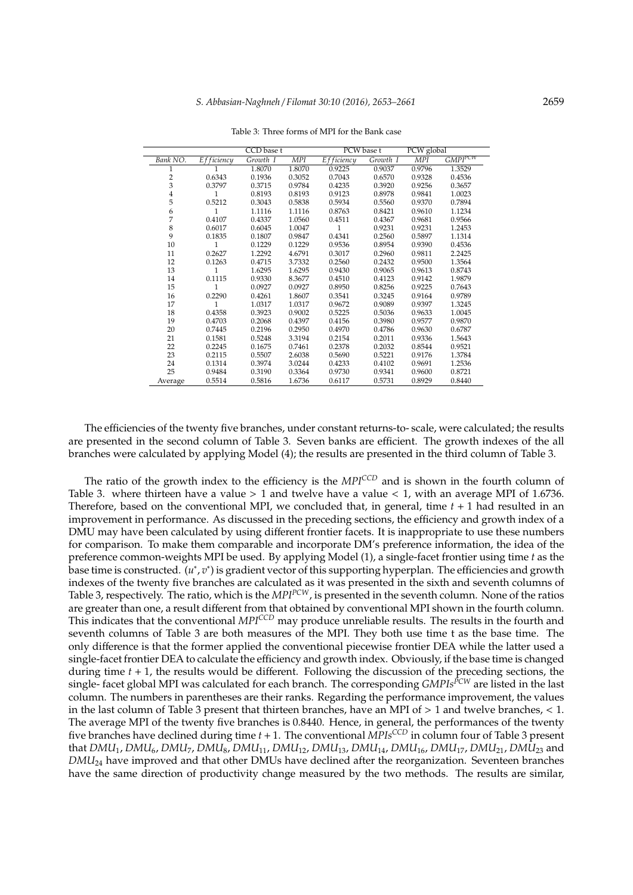|                |               | CCD base t |            | PCW base t   |          | PCW global |              |
|----------------|---------------|------------|------------|--------------|----------|------------|--------------|
| Bank NO.       | $Ef$ ficiency | Growth I   | <b>MPI</b> | Efficiency   | Growth I | <b>MPI</b> | $GMPI^{PCW}$ |
|                |               | 1.8070     | 1.8070     | 0.9225       | 0.9037   | 0.9796     | 1.3529       |
| $\overline{c}$ | 0.6343        | 0.1936     | 0.3052     | 0.7043       | 0.6570   | 0.9328     | 0.4536       |
| 3              | 0.3797        | 0.3715     | 0.9784     | 0.4235       | 0.3920   | 0.9256     | 0.3657       |
| 4              | 1             | 0.8193     | 0.8193     | 0.9123       | 0.8978   | 0.9841     | 1.0023       |
| 5              | 0.5212        | 0.3043     | 0.5838     | 0.5934       | 0.5560   | 0.9370     | 0.7894       |
| 6              | 1             | 1.1116     | 1.1116     | 0.8763       | 0.8421   | 0.9610     | 1.1234       |
| 7              | 0.4107        | 0.4337     | 1.0560     | 0.4511       | 0.4367   | 0.9681     | 0.9566       |
| 8              | 0.6017        | 0.6045     | 1.0047     | $\mathbf{1}$ | 0.9231   | 0.9231     | 1.2453       |
| 9              | 0.1835        | 0.1807     | 0.9847     | 0.4341       | 0.2560   | 0.5897     | 1.1314       |
| 10             | 1             | 0.1229     | 0.1229     | 0.9536       | 0.8954   | 0.9390     | 0.4536       |
| 11             | 0.2627        | 1.2292     | 4.6791     | 0.3017       | 0.2960   | 0.9811     | 2.2425       |
| 12             | 0.1263        | 0.4715     | 3.7332     | 0.2560       | 0.2432   | 0.9500     | 1.3564       |
| 13             | 1             | 1.6295     | 1.6295     | 0.9430       | 0.9065   | 0.9613     | 0.8743       |
| 14             | 0.1115        | 0.9330     | 8.3677     | 0.4510       | 0.4123   | 0.9142     | 1.9879       |
| 15             | 1             | 0.0927     | 0.0927     | 0.8950       | 0.8256   | 0.9225     | 0.7643       |
| 16             | 0.2290        | 0.4261     | 1.8607     | 0.3541       | 0.3245   | 0.9164     | 0.9789       |
| 17             | 1             | 1.0317     | 1.0317     | 0.9672       | 0.9089   | 0.9397     | 1.3245       |
| 18             | 0.4358        | 0.3923     | 0.9002     | 0.5225       | 0.5036   | 0.9633     | 1.0045       |
| 19             | 0.4703        | 0.2068     | 0.4397     | 0.4156       | 0.3980   | 0.9577     | 0.9870       |
| 20             | 0.7445        | 0.2196     | 0.2950     | 0.4970       | 0.4786   | 0.9630     | 0.6787       |
| 21             | 0.1581        | 0.5248     | 3.3194     | 0.2154       | 0.2011   | 0.9336     | 1.5643       |
| 22             | 0.2245        | 0.1675     | 0.7461     | 0.2378       | 0.2032   | 0.8544     | 0.9521       |
| 23             | 0.2115        | 0.5507     | 2.6038     | 0.5690       | 0.5221   | 0.9176     | 1.3784       |
| 24             | 0.1314        | 0.3974     | 3.0244     | 0.4233       | 0.4102   | 0.9691     | 1.2536       |
| 25             | 0.9484        | 0.3190     | 0.3364     | 0.9730       | 0.9341   | 0.9600     | 0.8721       |
| Average        | 0.5514        | 0.5816     | 1.6736     | 0.6117       | 0.5731   | 0.8929     | 0.8440       |

Table 3: Three forms of MPI for the Bank case

The efficiencies of the twenty five branches, under constant returns-to- scale, were calculated; the results are presented in the second column of Table 3. Seven banks are efficient. The growth indexes of the all branches were calculated by applying Model (4); the results are presented in the third column of Table 3.

The ratio of the growth index to the efficiency is the *MPICCD* and is shown in the fourth column of Table 3. where thirteen have a value  $> 1$  and twelve have a value  $< 1$ , with an average MPI of 1.6736. Therefore, based on the conventional MPI, we concluded that, in general, time *t* + 1 had resulted in an improvement in performance. As discussed in the preceding sections, the efficiency and growth index of a DMU may have been calculated by using different frontier facets. It is inappropriate to use these numbers for comparison. To make them comparable and incorporate DM's preference information, the idea of the preference common-weights MPI be used. By applying Model (1), a single-facet frontier using time *t* as the .<br>base time is constructed. (*u*\*, *v*\*) is gradient vector of this supporting hyperplan. The efficiencies and growth indexes of the twenty five branches are calculated as it was presented in the sixth and seventh columns of Table 3, respectively. The ratio, which is the *MPIPCW*, is presented in the seventh column. None of the ratios are greater than one, a result different from that obtained by conventional MPI shown in the fourth column. This indicates that the conventional *MPICCD* may produce unreliable results. The results in the fourth and seventh columns of Table 3 are both measures of the MPI. They both use time t as the base time. The only difference is that the former applied the conventional piecewise frontier DEA while the latter used a single-facet frontier DEA to calculate the efficiency and growth index. Obviously, if the base time is changed during time *t* + 1, the results would be different. Following the discussion of the preceding sections, the single- facet global MPI was calculated for each branch. The corresponding *GMPIsPCW* are listed in the last column. The numbers in parentheses are their ranks. Regarding the performance improvement, the values in the last column of Table 3 present that thirteen branches, have an MPI of  $> 1$  and twelve branches,  $< 1$ . The average MPI of the twenty five branches is 0.8440. Hence, in general, the performances of the twenty five branches have declined during time *t* + 1. The conventional *MPIsCCD* in column four of Table 3 present that *DMU*1, *DMU*6, *DMU*7, *DMU*8, *DMU*11, *DMU*12, *DMU*13, *DMU*14, *DMU*16, *DMU*17, *DMU*21, *DMU*<sup>23</sup> and *DMU*<sup>24</sup> have improved and that other DMUs have declined after the reorganization. Seventeen branches have the same direction of productivity change measured by the two methods. The results are similar,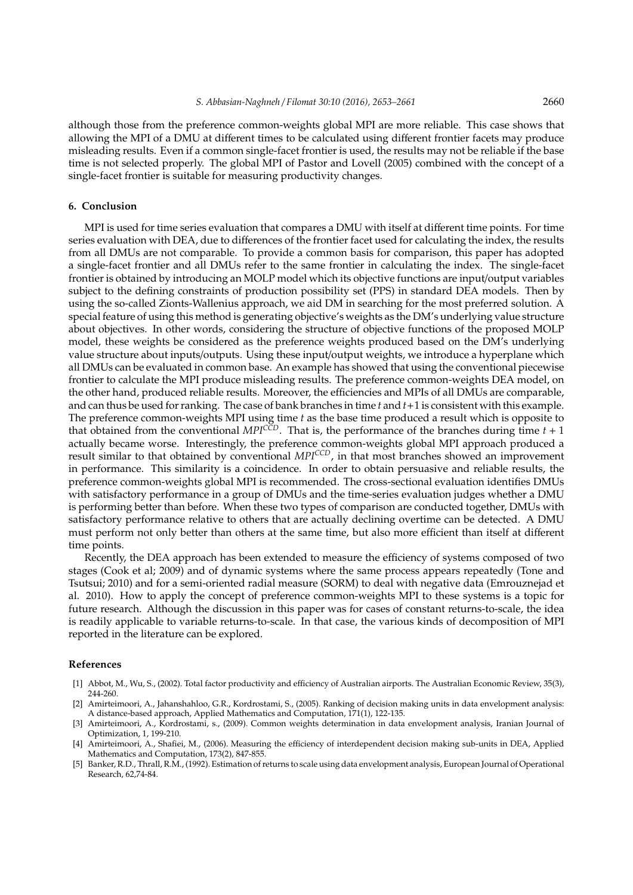although those from the preference common-weights global MPI are more reliable. This case shows that allowing the MPI of a DMU at different times to be calculated using different frontier facets may produce misleading results. Even if a common single-facet frontier is used, the results may not be reliable if the base time is not selected properly. The global MPI of Pastor and Lovell (2005) combined with the concept of a single-facet frontier is suitable for measuring productivity changes.

## **6. Conclusion**

MPI is used for time series evaluation that compares a DMU with itself at different time points. For time series evaluation with DEA, due to differences of the frontier facet used for calculating the index, the results from all DMUs are not comparable. To provide a common basis for comparison, this paper has adopted a single-facet frontier and all DMUs refer to the same frontier in calculating the index. The single-facet frontier is obtained by introducing an MOLP model which its objective functions are input/output variables subject to the defining constraints of production possibility set (PPS) in standard DEA models. Then by using the so-called Zionts-Wallenius approach, we aid DM in searching for the most preferred solution. A special feature of using this method is generating objective's weights as the DM's underlying value structure about objectives. In other words, considering the structure of objective functions of the proposed MOLP model, these weights be considered as the preference weights produced based on the DM's underlying value structure about inputs/outputs. Using these input/output weights, we introduce a hyperplane which all DMUs can be evaluated in common base. An example has showed that using the conventional piecewise frontier to calculate the MPI produce misleading results. The preference common-weights DEA model, on the other hand, produced reliable results. Moreover, the efficiencies and MPIs of all DMUs are comparable, and can thus be used for ranking. The case of bank branches in time *t* and *t*+1 is consistent with this example. The preference common-weights MPI using time *t* as the base time produced a result which is opposite to that obtained from the conventional  $MPI^{CCD}$ . That is, the performance of the branches during time  $t + 1$ actually became worse. Interestingly, the preference common-weights global MPI approach produced a result similar to that obtained by conventional *MPICCD*, in that most branches showed an improvement in performance. This similarity is a coincidence. In order to obtain persuasive and reliable results, the preference common-weights global MPI is recommended. The cross-sectional evaluation identifies DMUs with satisfactory performance in a group of DMUs and the time-series evaluation judges whether a DMU is performing better than before. When these two types of comparison are conducted together, DMUs with satisfactory performance relative to others that are actually declining overtime can be detected. A DMU must perform not only better than others at the same time, but also more efficient than itself at different time points.

Recently, the DEA approach has been extended to measure the efficiency of systems composed of two stages (Cook et al; 2009) and of dynamic systems where the same process appears repeatedly (Tone and Tsutsui; 2010) and for a semi-oriented radial measure (SORM) to deal with negative data (Emrouznejad et al. 2010). How to apply the concept of preference common-weights MPI to these systems is a topic for future research. Although the discussion in this paper was for cases of constant returns-to-scale, the idea is readily applicable to variable returns-to-scale. In that case, the various kinds of decomposition of MPI reported in the literature can be explored.

#### **References**

- [1] Abbot, M., Wu, S., (2002). Total factor productivity and efficiency of Australian airports. The Australian Economic Review, 35(3), 244-260.
- [2] Amirteimoori, A., Jahanshahloo, G.R., Kordrostami, S., (2005). Ranking of decision making units in data envelopment analysis: A distance-based approach, Applied Mathematics and Computation, 171(1), 122-135.
- [3] Amirteimoori, A., Kordrostami, s., (2009). Common weights determination in data envelopment analysis, Iranian Journal of Optimization, 1, 199-210.
- [4] Amirteimoori, A., Shafiei, M., (2006). Measuring the efficiency of interdependent decision making sub-units in DEA, Applied Mathematics and Computation, 173(2), 847-855.
- [5] Banker, R.D., Thrall, R.M., (1992). Estimation of returns to scale using data envelopment analysis, European Journal of Operational Research, 62,74-84.